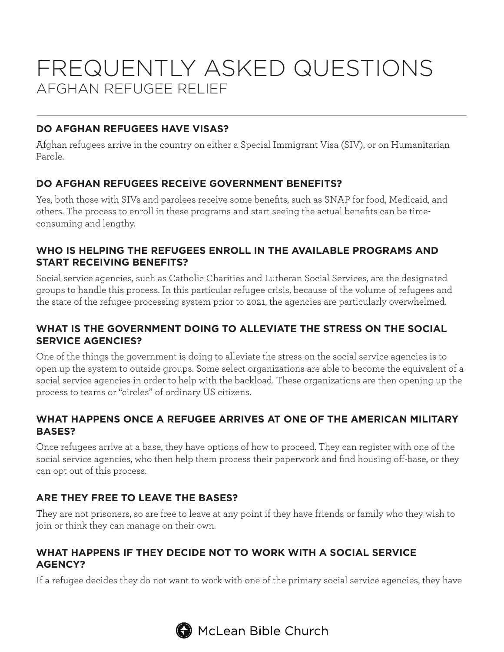# FREQUENTLY ASKED QUESTIONS AFGHAN REFUGEE RELIEF

## **DO AFGHAN REFUGEES HAVE VISAS?**

Afghan refugees arrive in the country on either a Special Immigrant Visa (SIV), or on Humanitarian Parole.

## **DO AFGHAN REFUGEES RECEIVE GOVERNMENT BENEFITS?**

Yes, both those with SIVs and parolees receive some benefits, such as SNAP for food, Medicaid, and others. The process to enroll in these programs and start seeing the actual benefits can be timeconsuming and lengthy.

#### **WHO IS HELPING THE REFUGEES ENROLL IN THE AVAILABLE PROGRAMS AND START RECEIVING BENEFITS?**

Social service agencies, such as Catholic Charities and Lutheran Social Services, are the designated groups to handle this process. In this particular refugee crisis, because of the volume of refugees and the state of the refugee-processing system prior to 2021, the agencies are particularly overwhelmed.

## **WHAT IS THE GOVERNMENT DOING TO ALLEVIATE THE STRESS ON THE SOCIAL SERVICE AGENCIES?**

One of the things the government is doing to alleviate the stress on the social service agencies is to open up the system to outside groups. Some select organizations are able to become the equivalent of a social service agencies in order to help with the backload. These organizations are then opening up the process to teams or "circles" of ordinary US citizens.

#### **WHAT HAPPENS ONCE A REFUGEE ARRIVES AT ONE OF THE AMERICAN MILITARY BASES?**

Once refugees arrive at a base, they have options of how to proceed. They can register with one of the social service agencies, who then help them process their paperwork and find housing off-base, or they can opt out of this process.

## **ARE THEY FREE TO LEAVE THE BASES?**

They are not prisoners, so are free to leave at any point if they have friends or family who they wish to join or think they can manage on their own.

#### **WHAT HAPPENS IF THEY DECIDE NOT TO WORK WITH A SOCIAL SERVICE AGENCY?**

If a refugee decides they do not want to work with one of the primary social service agencies, they have

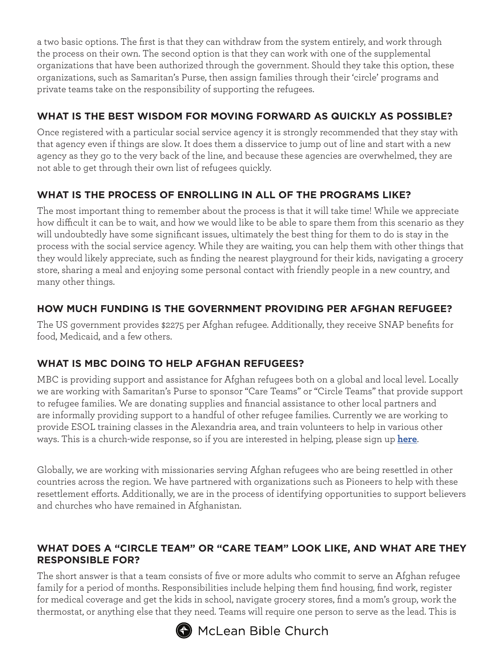a two basic options. The first is that they can withdraw from the system entirely, and work through the process on their own. The second option is that they can work with one of the supplemental organizations that have been authorized through the government. Should they take this option, these organizations, such as Samaritan's Purse, then assign families through their 'circle' programs and private teams take on the responsibility of supporting the refugees.

## **WHAT IS THE BEST WISDOM FOR MOVING FORWARD AS QUICKLY AS POSSIBLE?**

Once registered with a particular social service agency it is strongly recommended that they stay with that agency even if things are slow. It does them a disservice to jump out of line and start with a new agency as they go to the very back of the line, and because these agencies are overwhelmed, they are not able to get through their own list of refugees quickly.

# **WHAT IS THE PROCESS OF ENROLLING IN ALL OF THE PROGRAMS LIKE?**

The most important thing to remember about the process is that it will take time! While we appreciate how difficult it can be to wait, and how we would like to be able to spare them from this scenario as they will undoubtedly have some significant issues, ultimately the best thing for them to do is stay in the process with the social service agency. While they are waiting, you can help them with other things that they would likely appreciate, such as finding the nearest playground for their kids, navigating a grocery store, sharing a meal and enjoying some personal contact with friendly people in a new country, and many other things.

## **HOW MUCH FUNDING IS THE GOVERNMENT PROVIDING PER AFGHAN REFUGEE?**

The US government provides \$2275 per Afghan refugee. Additionally, they receive SNAP benefits for food, Medicaid, and a few others.

# **WHAT IS MBC DOING TO HELP AFGHAN REFUGEES?**

MBC is providing support and assistance for Afghan refugees both on a global and local level. Locally we are working with Samaritan's Purse to sponsor "Care Teams" or "Circle Teams" that provide support to refugee families. We are donating supplies and financial assistance to other local partners and are informally providing support to a handful of other refugee families. Currently we are working to provide ESOL training classes in the Alexandria area, and train volunteers to help in various other ways. This is a church-wide response, so if you are interested in helping, please sign up **[here](https://airtable.com/shrIsWWCliEbkBKuo)**.

Globally, we are working with missionaries serving Afghan refugees who are being resettled in other countries across the region. We have partnered with organizations such as Pioneers to help with these resettlement efforts. Additionally, we are in the process of identifying opportunities to support believers and churches who have remained in Afghanistan.

## **WHAT DOES A "CIRCLE TEAM" OR "CARE TEAM" LOOK LIKE, AND WHAT ARE THEY RESPONSIBLE FOR?**

The short answer is that a team consists of five or more adults who commit to serve an Afghan refugee family for a period of months. Responsibilities include helping them find housing, find work, register for medical coverage and get the kids in school, navigate grocery stores, find a mom's group, work the thermostat, or anything else that they need. Teams will require one person to serve as the lead. This is



 $\bigoplus$  McLean Bible Church